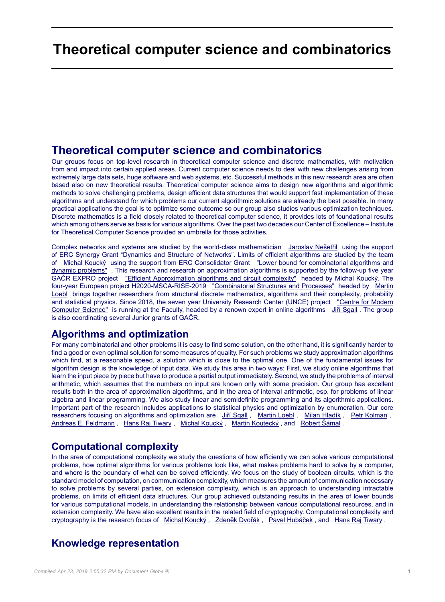# **Theoretical computer science and combinatorics**

## **Theoretical computer science and combinatorics**

Our groups focus on top-level research in theoretical computer science and discrete mathematics, with motivation from and impact into certain applied areas. Current computer science needs to deal with new challenges arising from extremely large data sets, huge software and web systems, etc. Successful methods in this new research area are often based also on new theoretical results. Theoretical computer science aims to design new algorithms and algorithmic methods to solve challenging problems, design efficient data structures that would support fast implementation of these algorithms and understand for which problems our current algorithmic solutions are already the best possible. In many practical applications the goal is to optimize some outcome so our group also studies various optimization techniques. Discrete mathematics is a field closely related to theoretical computer science, it provides lots of foundational results which among others serve as basis for various algorithms. Over the past two decades our Center of Excellence – Institute for Theoretical Computer Science provided an umbrella for those activities.

Complex networks and systems are studied by the world-class mathematician [Jaroslav Nešetřil](https://iuuk.mff.cuni.cz/people/nesetril.html) using the support of ERC Synergy Grant "Dynamics and Structure of Networks". Limits of efficient algorithms are studied by the team of [Michal Koucký](https://iuuk.mff.cuni.cz/people/koucky.html) using the support from ERC Consolidator Grant ["Lower bound for combinatorial algorithms and](https://iuuk.mff.cuni.cz/~koucky/LBCAD/) [dynamic problems"](https://iuuk.mff.cuni.cz/~koucky/LBCAD/) . This research and research on approximation algorithms is supported by the follow-up five year GAČR EXPRO project ["Efficient Approximation algorithms and circuit complexity"](https://iuuk.mff.cuni.cz/~koucky/EPAC/) headed by Michal Koucký. The four-year European project H2020-MSCA-RISE-2019 ["Combinatorial Structures and Processes"](https://kam.mff.cuni.cz/rise/) headed by [Martin](https://kam.mff.cuni.cz/~loebl/) [Loebl](https://kam.mff.cuni.cz/~loebl/) brings together researchers from structural discrete mathematics, algorithms and their complexity, probability and statistical physics. Since 2018, the seven year University Research Center (UNCE) project ["Centre for Modern](https://iuuk.mff.cuni.cz/research/cmi/) [Computer Science"](https://iuuk.mff.cuni.cz/research/cmi/) is running at the Faculty, headed by a renown expert in online algorithms [Jiří Sgall](https://iuuk.mff.cuni.cz/people/sgall.html) . The group is also coordinating several Junior grants of GAČR.

#### **Algorithms and optimization**

For many combinatorial and other problems it is easy to find some solution, on the other hand, it is significantly harder to find a good or even optimal solution for some measures of quality. For such problems we study approximation algorithms which find, at a reasonable speed, a solution which is close to the optimal one. One of the fundamental issues for algorithm design is the knowledge of input data. We study this area in two ways: First, we study online algorithms that learn the input piece by piece but have to produce a partial output immediately. Second, we study the problems of interval arithmetic, which assumes that the numbers on input are known only with some precision. Our group has excellent results both in the area of approximation algorithms, and in the area of interval arithmetic, esp. for problems of linear algebra and linear programming. We also study linear and semidefinite programming and its algorithmic applications. Important part of the research includes applications to statistical physics and optimization by enumeration. Our core researchers focusing on algorithms and optimization are [Jiří Sgall](https://iuuk.mff.cuni.cz/people/sgall.html), [Martin Loebl](https://kam.mff.cuni.cz/~loebl/), [Milan Hladík](https://kam.mff.cuni.cz/~hladik/), [Petr Kolman](https://kam.mff.cuni.cz/~kolman/), [Andreas E. Feldmann](https://sites.google.com/site/aefeldmann), [Hans Raj Tiwary](https://kam.mff.cuni.cz/~hansraj/), [Michal Koucký](https://iuuk.mff.cuni.cz/people/koucky.html), [Martin Koutecký](http://research.koutecky.name/), and [Robert Šámal](https://iuuk.mff.cuni.cz/people/samal.html).

## **Computational complexity**

In the area of computational complexity we study the questions of how efficiently we can solve various computational problems, how optimal algorithms for various problems look like, what makes problems hard to solve by a computer, and where is the boundary of what can be solved efficiently. We focus on the study of boolean circuits, which is the standard model of computation, on communication complexity, which measures the amount of communication necessary to solve problems by several parties, on extension complexity, which is an approach to understanding intractable problems, on limits of efficient data structures. Our group achieved outstanding results in the area of lower bounds for various computational models, in understanding the relationship between various computational resources, and in extension complexity. We have also excellent results in the related field of cryptography. Computational complexity and cryptography is the research focus of [Michal Koucký](https://iuuk.mff.cuni.cz/people/koucky.html), [Zdeněk Dvořák](https://iuuk.mff.cuni.cz/people/dvorak.html), [Pavel Hubáček](https://iuuk.mff.cuni.cz/people/hubacek.html), and [Hans Raj Tiwary](https://kam.mff.cuni.cz/~hansraj/).

## **Knowledge representation**